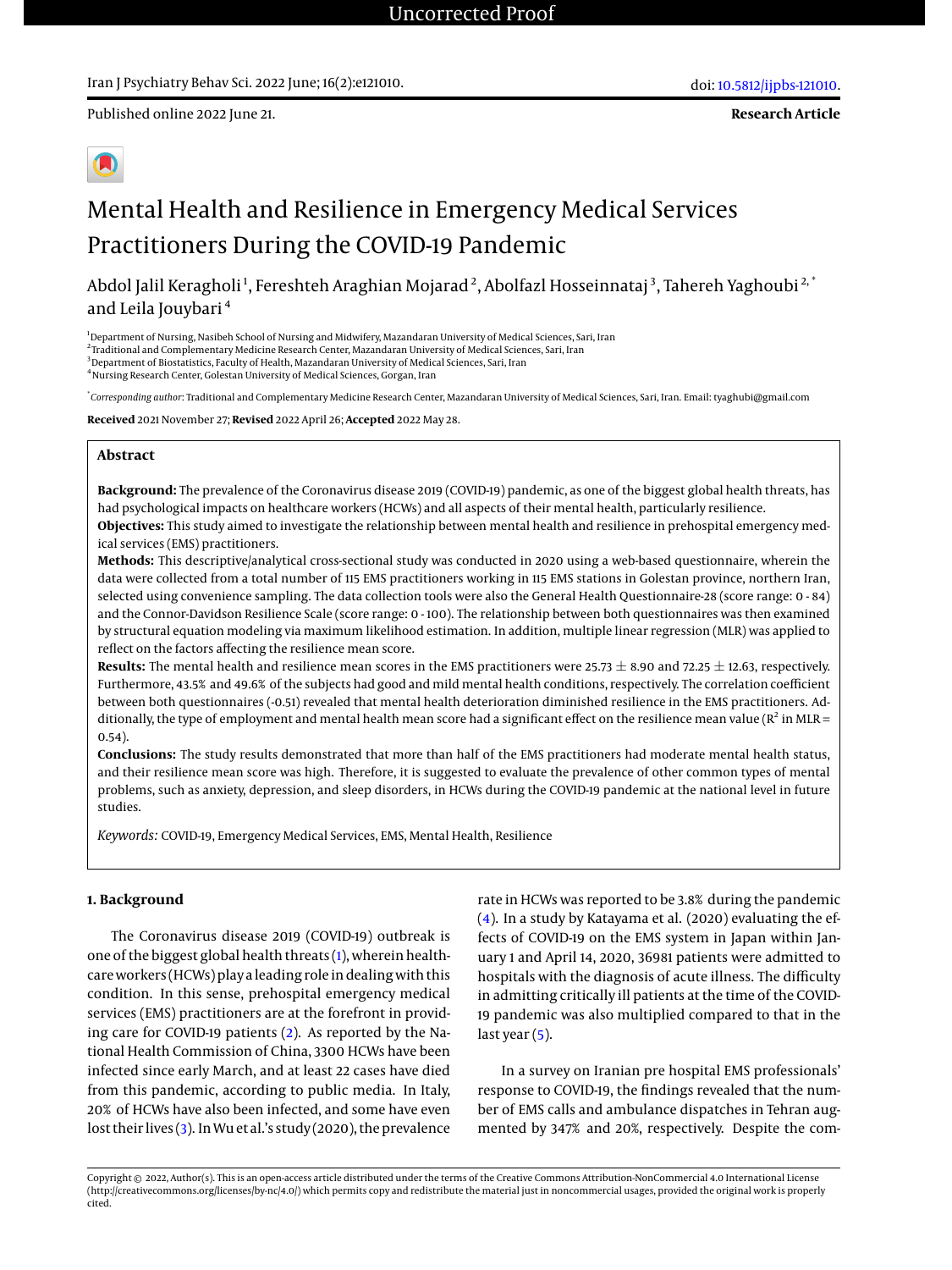Published online 2022 June 21.

**Research Article**

# Mental Health and Resilience in Emergency Medical Services Practitioners During the COVID-19 Pandemic

Abdol Jalil Keragholi<sup>1</sup>, Fereshteh Araghian Mojarad<sup>2</sup>, Abolfazl Hosseinnataj<sup>3</sup>, Tahereh Yaghoubi<sup>2, '</sup> and Leila Jouybari <sup>4</sup>

<sup>1</sup>Department of Nursing, Nasibeh School of Nursing and Midwifery, Mazandaran University of Medical Sciences, Sari, Iran

2 Traditional and Complementary Medicine Research Center, Mazandaran University of Medical Sciences, Sari, Iran

<sup>3</sup> Department of Biostatistics, Faculty of Health, Mazandaran University of Medical Sciences, Sari, Iran

<sup>4</sup> Nursing Research Center, Golestan University of Medical Sciences, Gorgan, Iran

\* *Corresponding author*: Traditional and Complementary Medicine Research Center, Mazandaran University of Medical Sciences, Sari, Iran. Email: tyaghubi@gmail.com

**Received** 2021 November 27; **Revised** 2022 April 26; **Accepted** 2022 May 28.

# **Abstract**

**Background:** The prevalence of the Coronavirus disease 2019 (COVID-19) pandemic, as one of the biggest global health threats, has had psychological impacts on healthcare workers (HCWs) and all aspects of their mental health, particularly resilience. **Objectives:** This study aimed to investigate the relationship between mental health and resilience in prehospital emergency med-

ical services (EMS) practitioners.

**Methods:** This descriptive/analytical cross-sectional study was conducted in 2020 using a web-based questionnaire, wherein the data were collected from a total number of 115 EMS practitioners working in 115 EMS stations in Golestan province, northern Iran, selected using convenience sampling. The data collection tools were also the General Health Questionnaire-28 (score range: 0 - 84) and the Connor-Davidson Resilience Scale (score range: 0 - 100). The relationship between both questionnaires was then examined by structural equation modeling via maximum likelihood estimation. In addition, multiple linear regression (MLR) was applied to reflect on the factors affecting the resilience mean score.

**Results:** The mental health and resilience mean scores in the EMS practitioners were 25.73  $\pm$  8.90 and 72.25  $\pm$  12.63, respectively. Furthermore, 43.5% and 49.6% of the subjects had good and mild mental health conditions, respectively. The correlation coefficient between both questionnaires (-0.51) revealed that mental health deterioration diminished resilience in the EMS practitioners. Additionally, the type of employment and mental health mean score had a significant effect on the resilience mean value ( $R^2$  in MLR = 0.54).

**Conclusions:** The study results demonstrated that more than half of the EMS practitioners had moderate mental health status, and their resilience mean score was high. Therefore, it is suggested to evaluate the prevalence of other common types of mental problems, such as anxiety, depression, and sleep disorders, in HCWs during the COVID-19 pandemic at the national level in future studies.

*Keywords:* COVID-19, Emergency Medical Services, EMS, Mental Health, Resilience

# **1. Background**

The Coronavirus disease 2019 (COVID-19) outbreak is one of the biggest global health threats [\(1\)](#page-6-0), wherein healthcare workers (HCWs) play a leading role in dealing with this condition. In this sense, prehospital emergency medical services (EMS) practitioners are at the forefront in providing care for COVID-19 patients [\(2\)](#page-6-1). As reported by the National Health Commission of China, 3300 HCWs have been infected since early March, and at least 22 cases have died from this pandemic, according to public media. In Italy, 20% of HCWs have also been infected, and some have even lost their lives [\(3\)](#page-6-2). In Wu et al.'s study (2020), the prevalence

rate in HCWs was reported to be 3.8% during the pandemic [\(4\)](#page-6-3). In a study by Katayama et al. (2020) evaluating the effects of COVID-19 on the EMS system in Japan within January 1 and April 14, 2020, 36981 patients were admitted to hospitals with the diagnosis of acute illness. The difficulty in admitting critically ill patients at the time of the COVID-19 pandemic was also multiplied compared to that in the last year [\(5\)](#page-6-4).

In a survey on Iranian pre hospital EMS professionals' response to COVID-19, the findings revealed that the number of EMS calls and ambulance dispatches in Tehran augmented by 347% and 20%, respectively. Despite the com-

Copyright © 2022, Author(s). This is an open-access article distributed under the terms of the Creative Commons Attribution-NonCommercial 4.0 International License (http://creativecommons.org/licenses/by-nc/4.0/) which permits copy and redistribute the material just in noncommercial usages, provided the original work is properly cited.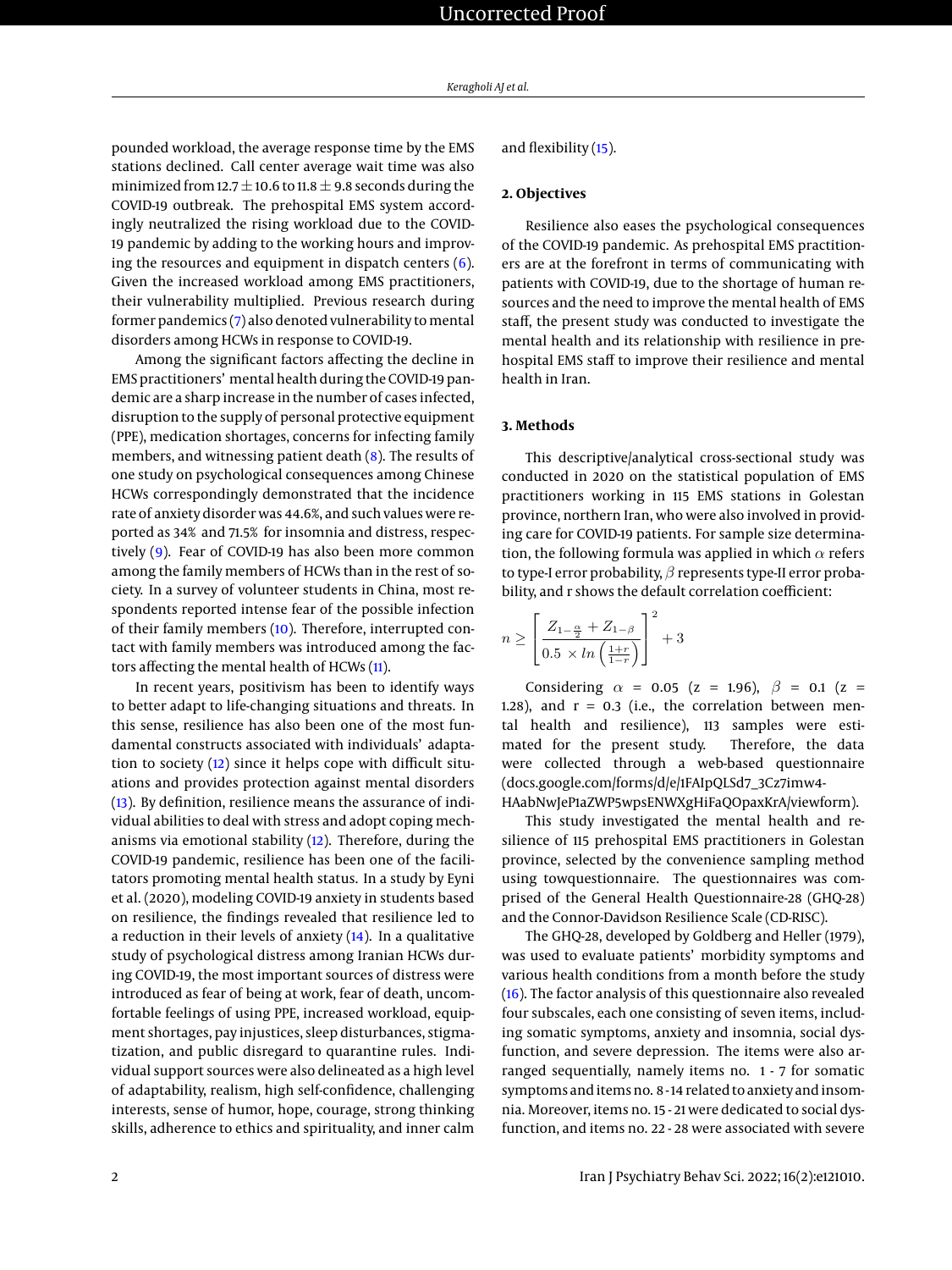pounded workload, the average response time by the EMS stations declined. Call center average wait time was also minimized from 12.7  $\pm$  10.6 to 11.8  $\pm$  9.8 seconds during the COVID-19 outbreak. The prehospital EMS system accordingly neutralized the rising workload due to the COVID-19 pandemic by adding to the working hours and improving the resources and equipment in dispatch centers [\(6\)](#page-6-5). Given the increased workload among EMS practitioners, their vulnerability multiplied. Previous research during former pandemics [\(7\)](#page-6-6) also denoted vulnerability to mental disorders among HCWs in response to COVID-19.

Among the significant factors affecting the decline in EMS practitioners' mental health during the COVID-19 pandemic are a sharp increase in the number of cases infected, disruption to the supply of personal protective equipment (PPE), medication shortages, concerns for infecting family members, and witnessing patient death [\(8\)](#page-6-7). The results of one study on psychological consequences among Chinese HCWs correspondingly demonstrated that the incidence rate of anxiety disorder was 44.6%, and such values were reported as 34% and 71.5% for insomnia and distress, respectively [\(9\)](#page-6-8). Fear of COVID-19 has also been more common among the family members of HCWs than in the rest of society. In a survey of volunteer students in China, most respondents reported intense fear of the possible infection of their family members [\(10\)](#page-6-9). Therefore, interrupted contact with family members was introduced among the factors affecting the mental health of HCWs [\(11\)](#page-6-10).

In recent years, positivism has been to identify ways to better adapt to life-changing situations and threats. In this sense, resilience has also been one of the most fundamental constructs associated with individuals' adaptation to society [\(12\)](#page-6-11) since it helps cope with difficult situations and provides protection against mental disorders [\(13\)](#page-6-12). By definition, resilience means the assurance of individual abilities to deal with stress and adopt coping mechanisms via emotional stability [\(12\)](#page-6-11). Therefore, during the COVID-19 pandemic, resilience has been one of the facilitators promoting mental health status. In a study by Eyni et al. (2020), modeling COVID-19 anxiety in students based on resilience, the findings revealed that resilience led to a reduction in their levels of anxiety [\(14\)](#page-6-13). In a qualitative study of psychological distress among Iranian HCWs during COVID-19, the most important sources of distress were introduced as fear of being at work, fear of death, uncomfortable feelings of using PPE, increased workload, equipment shortages, pay injustices, sleep disturbances, stigmatization, and public disregard to quarantine rules. Individual support sources were also delineated as a high level of adaptability, realism, high self-confidence, challenging interests, sense of humor, hope, courage, strong thinking skills, adherence to ethics and spirituality, and inner calm

and flexibility [\(15\)](#page-6-14).

### **2. Objectives**

Resilience also eases the psychological consequences of the COVID-19 pandemic. As prehospital EMS practitioners are at the forefront in terms of communicating with patients with COVID-19, due to the shortage of human resources and the need to improve the mental health of EMS staff, the present study was conducted to investigate the mental health and its relationship with resilience in prehospital EMS staff to improve their resilience and mental health in Iran.

#### **3. Methods**

 $\boldsymbol{r}$ 

This descriptive/analytical cross-sectional study was conducted in 2020 on the statistical population of EMS practitioners working in 115 EMS stations in Golestan province, northern Iran, who were also involved in providing care for COVID-19 patients. For sample size determination, the following formula was applied in which  $\alpha$  refers to type-I error probability,  $\beta$  represents type-II error probability, and r shows the default correlation coefficient:

$$
h \ge \left[ \frac{Z_{1-\frac{\alpha}{2}} + Z_{1-\beta}}{0.5 \times \ln\left(\frac{1+r}{1-r}\right)} \right]^2 + 3
$$

Considering  $\alpha = 0.05$  (z = 1.96),  $\beta = 0.1$  (z = 1.28), and  $r = 0.3$  (i.e., the correlation between mental health and resilience), 113 samples were estimated for the present study. Therefore, the data were collected through a web-based questionnaire (docs.google.com/forms/d/e/1FAIpQLSd7\_3Cz7imw4-

HAabNwJeP1aZWP5wpsENWXgHiFaQOpaxKrA/viewform).

This study investigated the mental health and resilience of 115 prehospital EMS practitioners in Golestan province, selected by the convenience sampling method using towquestionnaire. The questionnaires was comprised of the General Health Questionnaire-28 (GHQ-28) and the Connor-Davidson Resilience Scale (CD-RISC).

The GHQ-28, developed by Goldberg and Heller (1979), was used to evaluate patients' morbidity symptoms and various health conditions from a month before the study [\(16\)](#page-6-15). The factor analysis of this questionnaire also revealed four subscales, each one consisting of seven items, including somatic symptoms, anxiety and insomnia, social dysfunction, and severe depression. The items were also arranged sequentially, namely items no. 1 - 7 for somatic symptoms and items no. 8 - 14 related to anxiety and insomnia. Moreover, items no. 15 - 21 were dedicated to social dysfunction, and items no. 22 - 28 were associated with severe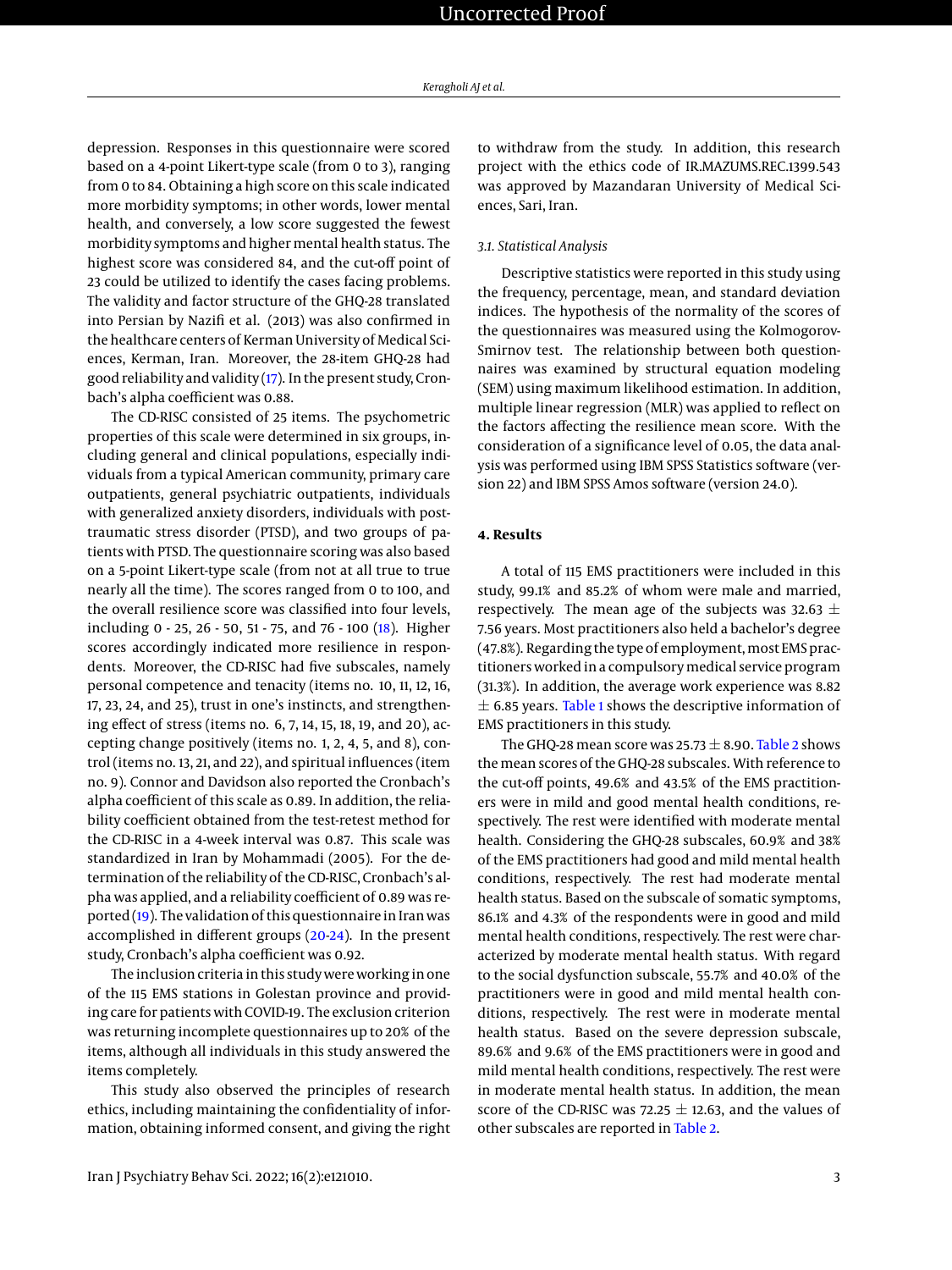depression. Responses in this questionnaire were scored based on a 4-point Likert-type scale (from 0 to 3), ranging from 0 to 84. Obtaining a high score on this scale indicated more morbidity symptoms; in other words, lower mental health, and conversely, a low score suggested the fewest morbidity symptoms and higher mental health status. The highest score was considered 84, and the cut-off point of 23 could be utilized to identify the cases facing problems. The validity and factor structure of the GHQ-28 translated into Persian by Nazifi et al. (2013) was also confirmed in the healthcare centers of Kerman University of Medical Sciences, Kerman, Iran. Moreover, the 28-item GHQ-28 had good reliability and validity [\(17\)](#page-6-16). In the present study, Cronbach's alpha coefficient was 0.88.

The CD-RISC consisted of 25 items. The psychometric properties of this scale were determined in six groups, including general and clinical populations, especially individuals from a typical American community, primary care outpatients, general psychiatric outpatients, individuals with generalized anxiety disorders, individuals with posttraumatic stress disorder (PTSD), and two groups of patients with PTSD. The questionnaire scoring was also based on a 5-point Likert-type scale (from not at all true to true nearly all the time). The scores ranged from 0 to 100, and the overall resilience score was classified into four levels, including 0 - 25, 26 - 50, 51 - 75, and 76 - 100 [\(18\)](#page-7-0). Higher scores accordingly indicated more resilience in respondents. Moreover, the CD-RISC had five subscales, namely personal competence and tenacity (items no. 10, 11, 12, 16, 17, 23, 24, and 25), trust in one's instincts, and strengthening effect of stress (items no. 6, 7, 14, 15, 18, 19, and 20), accepting change positively (items no. 1, 2, 4, 5, and 8), control (items no. 13, 21, and 22), and spiritual influences (item no. 9). Connor and Davidson also reported the Cronbach's alpha coefficient of this scale as 0.89. In addition, the reliability coefficient obtained from the test-retest method for the CD-RISC in a 4-week interval was 0.87. This scale was standardized in Iran by Mohammadi (2005). For the determination of the reliability of the CD-RISC, Cronbach's alpha was applied, and a reliability coefficient of 0.89 was reported [\(19\)](#page-7-1). The validation of this questionnaire in Iran was accomplished in different groups [\(20](#page-7-2)[-24\)](#page-7-3). In the present study, Cronbach's alpha coefficient was 0.92.

The inclusion criteria in this study were working in one of the 115 EMS stations in Golestan province and providing care for patients with COVID-19. The exclusion criterion was returning incomplete questionnaires up to 20% of the items, although all individuals in this study answered the items completely.

This study also observed the principles of research ethics, including maintaining the confidentiality of information, obtaining informed consent, and giving the right

to withdraw from the study. In addition, this research project with the ethics code of IR.MAZUMS.REC.1399.543 was approved by Mazandaran University of Medical Sciences, Sari, Iran.

# *3.1. Statistical Analysis*

Descriptive statistics were reported in this study using the frequency, percentage, mean, and standard deviation indices. The hypothesis of the normality of the scores of the questionnaires was measured using the Kolmogorov-Smirnov test. The relationship between both questionnaires was examined by structural equation modeling (SEM) using maximum likelihood estimation. In addition, multiple linear regression (MLR) was applied to reflect on the factors affecting the resilience mean score. With the consideration of a significance level of 0.05, the data analysis was performed using IBM SPSS Statistics software (version 22) and IBM SPSS Amos software (version 24.0).

# **4. Results**

A total of 115 EMS practitioners were included in this study, 99.1% and 85.2% of whom were male and married, respectively. The mean age of the subjects was 32.63  $\pm$ 7.56 years. Most practitioners also held a bachelor's degree (47.8%). Regarding the type of employment, most EMS practitioners worked in a compulsorymedical service program (31.3%). In addition, the average work experience was 8.82  $\pm$  6.85 years. [Table 1](#page-3-0) shows the descriptive information of EMS practitioners in this study.

The GHQ-28 mean score was  $25.73 \pm 8.90$ . [Table 2](#page-4-0) shows the mean scores of the GHQ-28 subscales. With reference to the cut-off points, 49.6% and 43.5% of the EMS practitioners were in mild and good mental health conditions, respectively. The rest were identified with moderate mental health. Considering the GHQ-28 subscales, 60.9% and 38% of the EMS practitioners had good and mild mental health conditions, respectively. The rest had moderate mental health status. Based on the subscale of somatic symptoms, 86.1% and 4.3% of the respondents were in good and mild mental health conditions, respectively. The rest were characterized by moderate mental health status. With regard to the social dysfunction subscale, 55.7% and 40.0% of the practitioners were in good and mild mental health conditions, respectively. The rest were in moderate mental health status. Based on the severe depression subscale, 89.6% and 9.6% of the EMS practitioners were in good and mild mental health conditions, respectively. The rest were in moderate mental health status. In addition, the mean score of the CD-RISC was 72.25  $\pm$  12.63, and the values of other subscales are reported in [Table 2.](#page-4-0)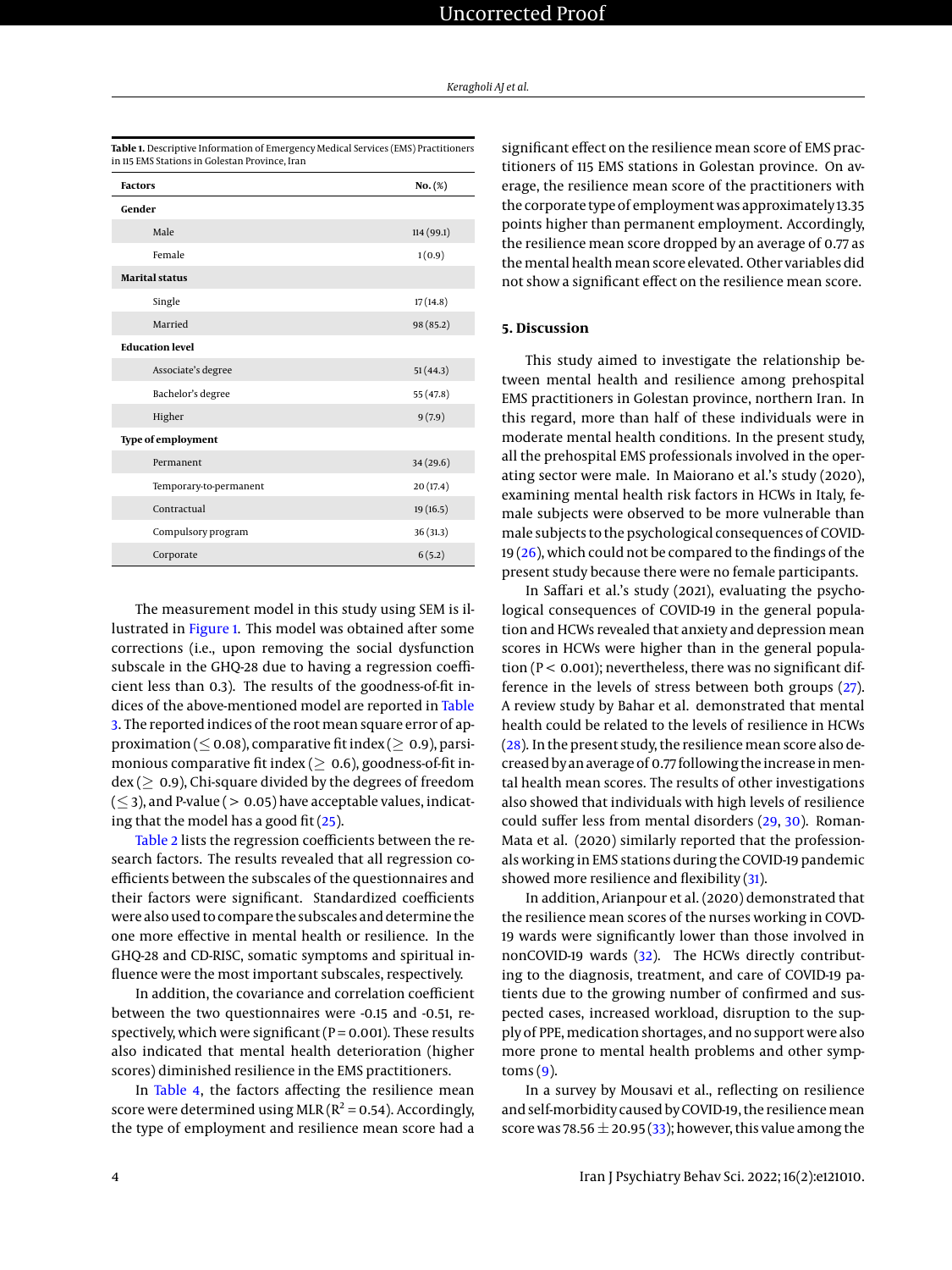| <b>Factors</b>         | $No.$ (%)  |
|------------------------|------------|
| Gender                 |            |
| Male                   | 114 (99.1) |
| Female                 | 1(0.9)     |
| <b>Marital status</b>  |            |
| Single                 | 17(14.8)   |
| Married                | 98 (85.2)  |
| <b>Education level</b> |            |
| Associate's degree     | 51(44.3)   |
| Bachelor's degree      | 55 (47.8)  |
| Higher                 | 9(7.9)     |
| Type of employment     |            |
| Permanent              | 34 (29.6)  |
| Temporary-to-permanent | 20(17.4)   |
| Contractual            | 19 (16.5)  |
| Compulsory program     | 36(31.3)   |
| Corporate              | 6(5.2)     |

<span id="page-3-0"></span>**Table 1.** Descriptive Information of Emergency Medical Services (EMS) Practitioners in 115 EMS Stations in Golestan Province, Iran

The measurement model in this study using SEM is illustrated in [Figure 1.](#page-4-1) This model was obtained after some corrections (i.e., upon removing the social dysfunction subscale in the GHQ-28 due to having a regression coefficient less than 0.3). The results of the goodness-of-fit indices of the above-mentioned model are reported in [Table](#page-4-2) [3.](#page-4-2) The reported indices of the root mean square error of approximation ( $\leq$  0.08), comparative fit index ( $\geq$  0.9), parsimonious comparative fit index ( $\geq 0.6$ ), goodness-of-fit in $dex$  ( $> 0.9$ ), Chi-square divided by the degrees of freedom  $(\leq$  3), and P-value ( > 0.05) have acceptable values, indicating that the model has a good fit  $(25)$ .

[Table 2](#page-4-0) lists the regression coefficients between the research factors. The results revealed that all regression coefficients between the subscales of the questionnaires and their factors were significant. Standardized coefficients were also used to compare the subscales and determine the one more effective in mental health or resilience. In the GHQ-28 and CD-RISC, somatic symptoms and spiritual influence were the most important subscales, respectively.

In addition, the covariance and correlation coefficient between the two questionnaires were -0.15 and -0.51, respectively, which were significant ( $P = 0.001$ ). These results also indicated that mental health deterioration (higher scores) diminished resilience in the EMS practitioners.

In [Table 4,](#page-5-0) the factors affecting the resilience mean score were determined using MLR ( $R^2$  = 0.54). Accordingly, the type of employment and resilience mean score had a

significant effect on the resilience mean score of EMS practitioners of 115 EMS stations in Golestan province. On average, the resilience mean score of the practitioners with the corporate type of employment was approximately 13.35 points higher than permanent employment. Accordingly, the resilience mean score dropped by an average of 0.77 as the mental health mean score elevated. Other variables did not show a significant effect on the resilience mean score.

# **5. Discussion**

This study aimed to investigate the relationship between mental health and resilience among prehospital EMS practitioners in Golestan province, northern Iran. In this regard, more than half of these individuals were in moderate mental health conditions. In the present study, all the prehospital EMS professionals involved in the operating sector were male. In Maiorano et al.'s study (2020), examining mental health risk factors in HCWs in Italy, female subjects were observed to be more vulnerable than male subjects to the psychological consequences of COVID-19 [\(26\)](#page-7-5), which could not be compared to the findings of the present study because there were no female participants.

In Saffari et al.'s study (2021), evaluating the psychological consequences of COVID-19 in the general population and HCWs revealed that anxiety and depression mean scores in HCWs were higher than in the general population ( $P < 0.001$ ); nevertheless, there was no significant difference in the levels of stress between both groups [\(27\)](#page-7-6). A review study by Bahar et al. demonstrated that mental health could be related to the levels of resilience in HCWs  $(28)$ . In the present study, the resilience mean score also decreased by an average of 0.77 following the increase inmental health mean scores. The results of other investigations also showed that individuals with high levels of resilience could suffer less from mental disorders [\(29,](#page-7-8) [30\)](#page-7-9). Roman-Mata et al. (2020) similarly reported that the professionals working in EMS stations during the COVID-19 pandemic showed more resilience and flexibility  $(31)$ .

In addition, Arianpour et al. (2020) demonstrated that the resilience mean scores of the nurses working in COVD-19 wards were significantly lower than those involved in nonCOVID-19 wards [\(32\)](#page-7-11). The HCWs directly contributing to the diagnosis, treatment, and care of COVID-19 patients due to the growing number of confirmed and suspected cases, increased workload, disruption to the supply of PPE, medication shortages, and no support were also more prone to mental health problems and other symp- $toms(9)$  $toms(9)$ .

In a survey by Mousavi et al., reflecting on resilience and self-morbidity caused by COVID-19, the resilience mean score was 78.56  $\pm$  20.95 [\(33\)](#page-7-12); however, this value among the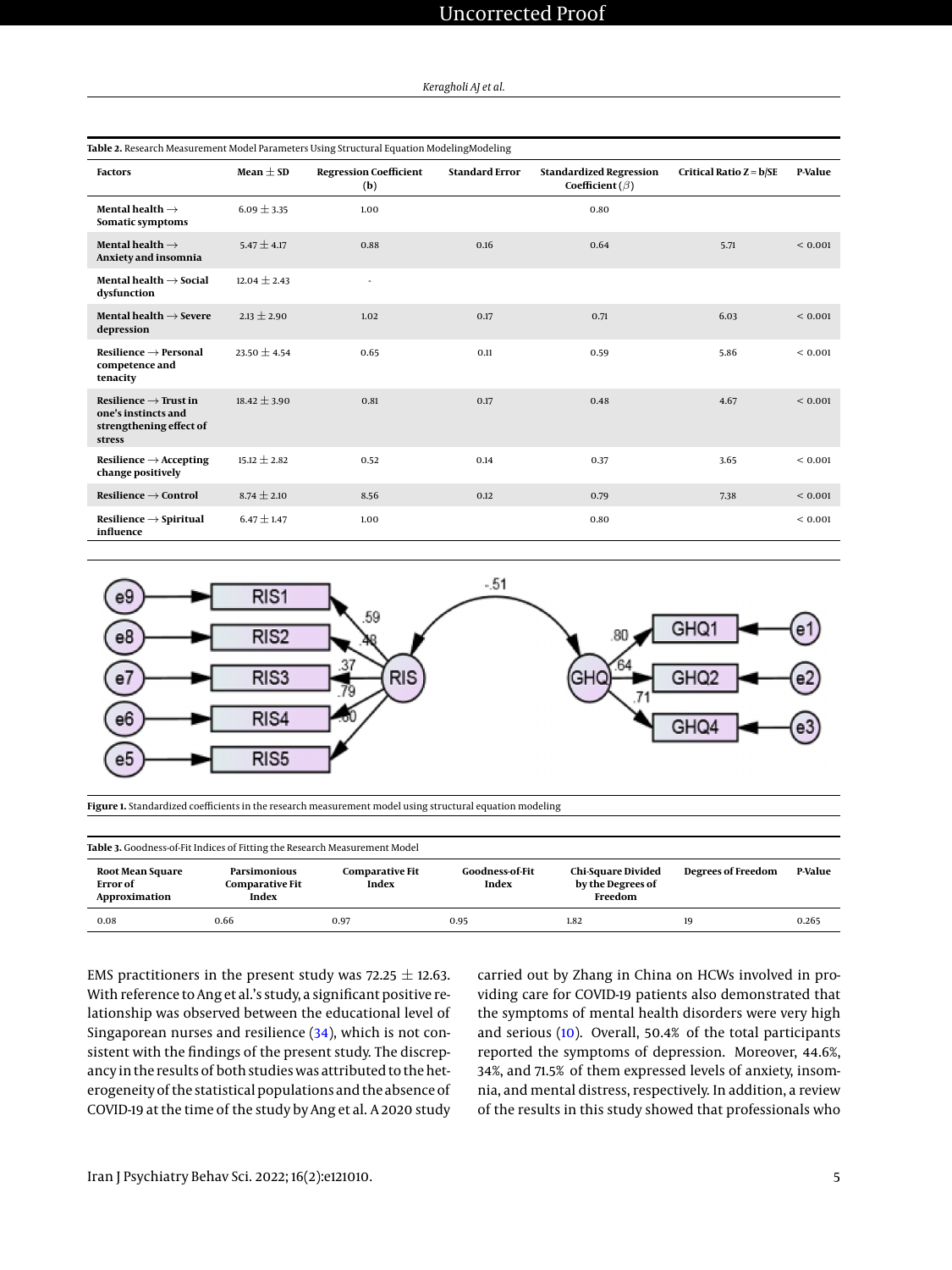<span id="page-4-0"></span>

| Table 2. Research Measurement Model Parameters Using Structural Equation ModelingModeling     |                  |                                      |                       |                                                           |                           |              |
|-----------------------------------------------------------------------------------------------|------------------|--------------------------------------|-----------------------|-----------------------------------------------------------|---------------------------|--------------|
| <b>Factors</b>                                                                                | Mean $\pm$ SD    | <b>Regression Coefficient</b><br>(b) | <b>Standard Error</b> | <b>Standardized Regression</b><br>Coefficient ( $\beta$ ) | Critical Ratio $Z = b/SE$ | P-Value      |
| Mental health $\rightarrow$<br>Somatic symptoms                                               | $6.09 \pm 3.35$  | 1.00                                 |                       | 0.80                                                      |                           |              |
| Mental health $\rightarrow$<br>Anxiety and insomnia                                           | $5.47 \pm 4.17$  | 0.88                                 | 0.16                  | 0.64                                                      | 5.71                      | ${}_{0.001}$ |
| Mental health $\rightarrow$ Social<br>dysfunction                                             | $12.04 \pm 2.43$ | ÷.                                   |                       |                                                           |                           |              |
| Mental health $\rightarrow$ Severe<br>depression                                              | $2.13 \pm 2.90$  | 1.02                                 | 0.17                  | 0.71                                                      | 6.03                      | ${}< 0.001$  |
| $Resilience \rightarrow Personal$<br>competence and<br>tenacity                               | $23.50 \pm 4.54$ | 0.65                                 | 0.11                  | 0.59                                                      | 5.86                      | ${}< 0.001$  |
| Resilience $\rightarrow$ Trust in<br>one's instincts and<br>strengthening effect of<br>stress | $18.42 + 3.90$   | 0.81                                 | 0.17                  | 0.48                                                      | 4.67                      | ${}_{0.001}$ |
| $Resilience \rightarrow Accepting$<br>change positively                                       | $15.12 \pm 2.82$ | 0.52                                 | 0.14                  | 0.37                                                      | 3.65                      | ${}< 0.001$  |
| $Resilience \rightarrow Control$                                                              | $8.74 \pm 2.10$  | 8.56                                 | 0.12                  | 0.79                                                      | 7.38                      | ${}_{0.001}$ |
| $Resilience \rightarrow Spiritud$<br>influence                                                | $6.47 \pm 1.47$  | 1.00                                 |                       | 0.80                                                      |                           | ${}< 0.001$  |



<span id="page-4-1"></span>

**Figure 1.** Standardized coefficients in the research measurement model using structural equation modeling

<span id="page-4-2"></span>

| Table 3. Goodness-of-Fit Indices of Fitting the Research Measurement Model |                                                        |                                 |                          |                                                           |                           |         |
|----------------------------------------------------------------------------|--------------------------------------------------------|---------------------------------|--------------------------|-----------------------------------------------------------|---------------------------|---------|
| Root Mean Square<br><b>Error</b> of<br>Approximation                       | <b>Parsimonious</b><br><b>Comparative Fit</b><br>Index | <b>Comparative Fit</b><br>Index | Goodness-of-Fit<br>Index | <b>Chi-Square Divided</b><br>by the Degrees of<br>Freedom | <b>Degrees of Freedom</b> | P-Value |
| 0.08                                                                       | 0.66                                                   | 0.97                            | 0.95                     | 1.82                                                      | 19                        | 0.265   |

EMS practitioners in the present study was  $72.25 \pm 12.63$ . With reference to Ang et al.'s study, a significant positive relationship was observed between the educational level of Singaporean nurses and resilience [\(34\)](#page-7-13), which is not consistent with the findings of the present study. The discrepancy in the results of both studies was attributed to the heterogeneity of the statistical populations and the absence of COVID-19 at the time of the study by Ang et al. A 2020 study

carried out by Zhang in China on HCWs involved in providing care for COVID-19 patients also demonstrated that the symptoms of mental health disorders were very high and serious [\(10\)](#page-6-9). Overall, 50.4% of the total participants reported the symptoms of depression. Moreover, 44.6%, 34%, and 71.5% of them expressed levels of anxiety, insomnia, and mental distress, respectively. In addition, a review of the results in this study showed that professionals who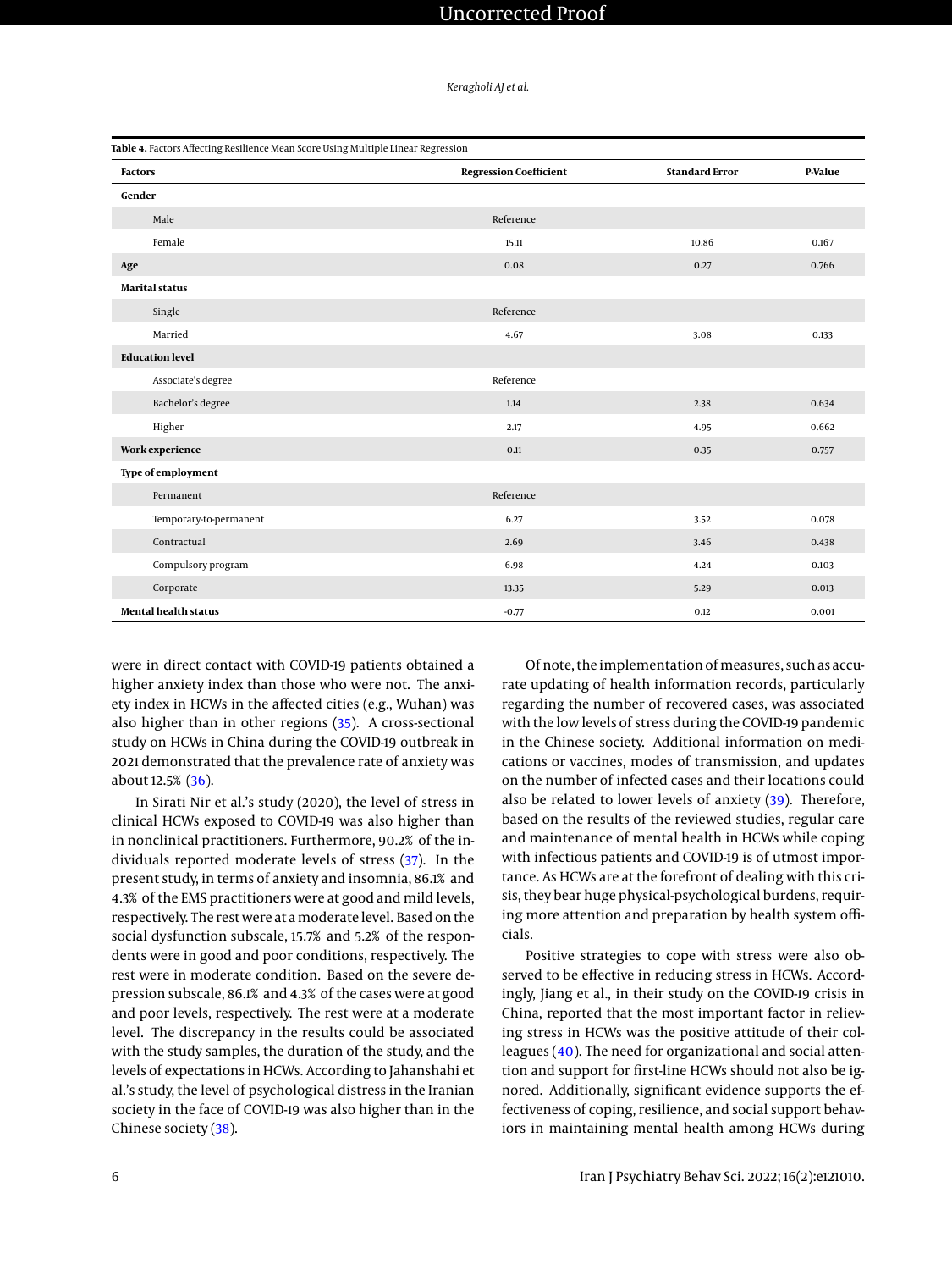*Keragholi AJ et al.*

<span id="page-5-0"></span>

| Table 4. Factors Affecting Resilience Mean Score Using Multiple Linear Regression |                               |                       |         |  |
|-----------------------------------------------------------------------------------|-------------------------------|-----------------------|---------|--|
| <b>Factors</b>                                                                    | <b>Regression Coefficient</b> | <b>Standard Error</b> | P-Value |  |
| Gender                                                                            |                               |                       |         |  |
| Male                                                                              | Reference                     |                       |         |  |
| Female                                                                            | 15.11                         | 10.86                 | 0.167   |  |
| Age                                                                               | 0.08                          | 0.27                  | 0.766   |  |
| <b>Marital status</b>                                                             |                               |                       |         |  |
| Single                                                                            | Reference                     |                       |         |  |
| Married                                                                           | 4.67                          | 3.08                  | 0.133   |  |
| <b>Education level</b>                                                            |                               |                       |         |  |
| Associate's degree                                                                | Reference                     |                       |         |  |
| Bachelor's degree                                                                 | 1.14                          | 2.38                  | 0.634   |  |
| Higher                                                                            | 2.17                          | 4.95                  | 0.662   |  |
| Work experience                                                                   | 0.11                          | 0.35                  | 0.757   |  |
| Type of employment                                                                |                               |                       |         |  |
| Permanent                                                                         | Reference                     |                       |         |  |
| Temporary-to-permanent                                                            | 6.27                          | 3.52                  | 0.078   |  |
| Contractual                                                                       | 2.69                          | 3.46                  | 0.438   |  |
| Compulsory program                                                                | 6.98                          | 4.24                  | 0.103   |  |
| Corporate                                                                         | 13.35                         | 5.29                  | 0.013   |  |
| <b>Mental health status</b>                                                       | $-0.77$                       | 0.12                  | 0.001   |  |

were in direct contact with COVID-19 patients obtained a higher anxiety index than those who were not. The anxiety index in HCWs in the affected cities (e.g., Wuhan) was also higher than in other regions [\(35\)](#page-7-14). A cross-sectional study on HCWs in China during the COVID-19 outbreak in 2021 demonstrated that the prevalence rate of anxiety was about 12.5% [\(36\)](#page-7-15).

In Sirati Nir et al.'s study (2020), the level of stress in clinical HCWs exposed to COVID-19 was also higher than in nonclinical practitioners. Furthermore, 90.2% of the individuals reported moderate levels of stress [\(37\)](#page-7-16). In the present study, in terms of anxiety and insomnia, 86.1% and 4.3% of the EMS practitioners were at good and mild levels, respectively. The rest were at amoderate level. Based on the social dysfunction subscale, 15.7% and 5.2% of the respondents were in good and poor conditions, respectively. The rest were in moderate condition. Based on the severe depression subscale, 86.1% and 4.3% of the cases were at good and poor levels, respectively. The rest were at a moderate level. The discrepancy in the results could be associated with the study samples, the duration of the study, and the levels of expectations in HCWs. According to Jahanshahi et al.'s study, the level of psychological distress in the Iranian society in the face of COVID-19 was also higher than in the Chinese society [\(38\)](#page-7-17).

Of note, the implementation of measures, such as accurate updating of health information records, particularly regarding the number of recovered cases, was associated with the low levels of stress during the COVID-19 pandemic in the Chinese society. Additional information on medications or vaccines, modes of transmission, and updates on the number of infected cases and their locations could also be related to lower levels of anxiety [\(39\)](#page-7-18). Therefore, based on the results of the reviewed studies, regular care and maintenance of mental health in HCWs while coping with infectious patients and COVID-19 is of utmost importance. As HCWs are at the forefront of dealing with this crisis, they bear huge physical-psychological burdens, requiring more attention and preparation by health system officials.

Positive strategies to cope with stress were also observed to be effective in reducing stress in HCWs. Accordingly, Jiang et al., in their study on the COVID-19 crisis in China, reported that the most important factor in relieving stress in HCWs was the positive attitude of their colleagues [\(40\)](#page-7-19). The need for organizational and social attention and support for first-line HCWs should not also be ignored. Additionally, significant evidence supports the effectiveness of coping, resilience, and social support behaviors in maintaining mental health among HCWs during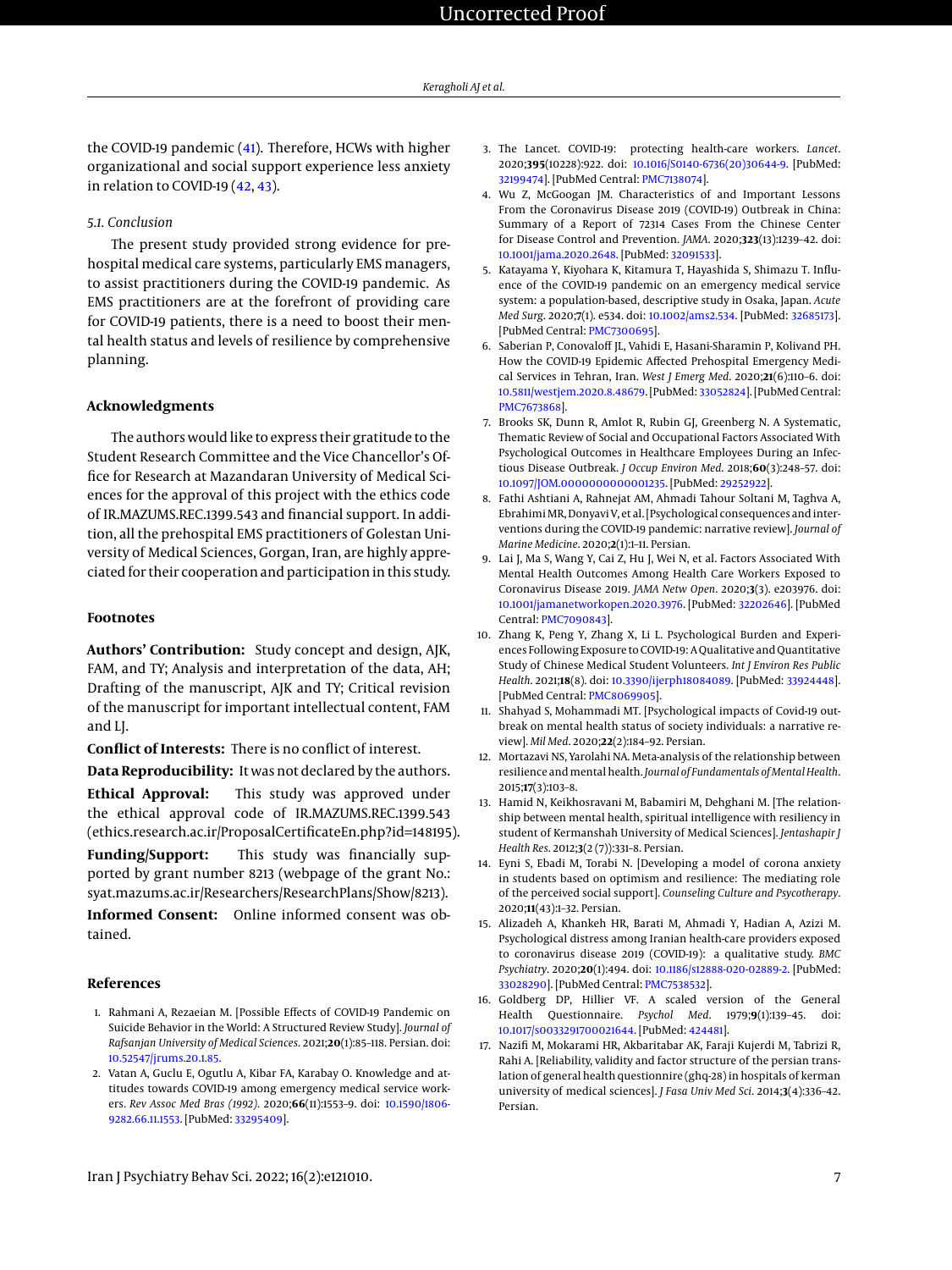the COVID-19 pandemic [\(41\)](#page-7-20). Therefore, HCWs with higher organizational and social support experience less anxiety in relation to COVID-19 [\(42,](#page-7-21) [43\)](#page-7-22).

# *5.1. Conclusion*

The present study provided strong evidence for prehospital medical care systems, particularly EMS managers, to assist practitioners during the COVID-19 pandemic. As EMS practitioners are at the forefront of providing care for COVID-19 patients, there is a need to boost their mental health status and levels of resilience by comprehensive planning.

# **Acknowledgments**

The authors would like to express their gratitude to the Student Research Committee and the Vice Chancellor's Office for Research at Mazandaran University of Medical Sciences for the approval of this project with the ethics code of IR.MAZUMS.REC.1399.543 and financial support. In addition, all the prehospital EMS practitioners of Golestan University of Medical Sciences, Gorgan, Iran, are highly appreciated for their cooperation and participation in this study.

### **Footnotes**

**Authors' Contribution:** Study concept and design, AJK, FAM, and TY; Analysis and interpretation of the data, AH; Drafting of the manuscript, AJK and TY; Critical revision of the manuscript for important intellectual content, FAM and LJ.

**Conflict of Interests:** There is no conflict of interest.

**Data Reproducibility:** It was not declared by the authors. **Ethical Approval:** This study was approved under the ethical approval code of IR.MAZUMS.REC.1399.543 (ethics.research.ac.ir/ProposalCertificateEn.php?id=148195).

**Funding/Support:** This study was financially supported by grant number 8213 (webpage of the grant No.: syat.mazums.ac.ir/Researchers/ResearchPlans/Show/8213).

**Informed Consent:** Online informed consent was obtained.

## **References**

- <span id="page-6-0"></span>1. Rahmani A, Rezaeian M. [Possible Effects of COVID-19 Pandemic on Suicide Behavior in the World: A Structured Review Study]. *Journal of Rafsanjan University of Medical Sciences*. 2021;**20**(1):85–118. Persian. doi: [10.52547/jrums.20.1.85.](http://dx.doi.org/10.52547/jrums.20.1.85)
- <span id="page-6-1"></span>2. Vatan A, Guclu E, Ogutlu A, Kibar FA, Karabay O. Knowledge and attitudes towards COVID-19 among emergency medical service workers. *Rev Assoc Med Bras (1992)*. 2020;**66**(11):1553–9. doi: [10.1590/1806-](http://dx.doi.org/10.1590/1806-9282.66.11.1553) [9282.66.11.1553.](http://dx.doi.org/10.1590/1806-9282.66.11.1553) [PubMed: [33295409\]](http://www.ncbi.nlm.nih.gov/pubmed/33295409).
- <span id="page-6-2"></span>3. The Lancet. COVID-19: protecting health-care workers. *Lancet*. 2020;**395**(10228):922. doi: [10.1016/S0140-6736\(20\)30644-9.](http://dx.doi.org/10.1016/S0140-6736(20)30644-9) [PubMed: [32199474\]](http://www.ncbi.nlm.nih.gov/pubmed/32199474). [PubMed Central: [PMC7138074\]](https://www.ncbi.nlm.nih.gov/pmc/articles/PMC7138074).
- <span id="page-6-3"></span>4. Wu Z, McGoogan JM. Characteristics of and Important Lessons From the Coronavirus Disease 2019 (COVID-19) Outbreak in China: Summary of a Report of 72314 Cases From the Chinese Center for Disease Control and Prevention. *JAMA*. 2020;**323**(13):1239–42. doi: [10.1001/jama.2020.2648.](http://dx.doi.org/10.1001/jama.2020.2648) [PubMed: [32091533\]](http://www.ncbi.nlm.nih.gov/pubmed/32091533).
- <span id="page-6-4"></span>5. Katayama Y, Kiyohara K, Kitamura T, Hayashida S, Shimazu T. Influence of the COVID-19 pandemic on an emergency medical service system: a population-based, descriptive study in Osaka, Japan. *Acute Med Surg*. 2020;**7**(1). e534. doi: [10.1002/ams2.534.](http://dx.doi.org/10.1002/ams2.534) [PubMed: [32685173\]](http://www.ncbi.nlm.nih.gov/pubmed/32685173). [PubMed Central: [PMC7300695\]](https://www.ncbi.nlm.nih.gov/pmc/articles/PMC7300695).
- <span id="page-6-5"></span>6. Saberian P, Conovaloff JL, Vahidi E, Hasani-Sharamin P, Kolivand PH. How the COVID-19 Epidemic Affected Prehospital Emergency Medical Services in Tehran, Iran. *West J Emerg Med*. 2020;**21**(6):110–6. doi: [10.5811/westjem.2020.8.48679.](http://dx.doi.org/10.5811/westjem.2020.8.48679) [PubMed: [33052824\]](http://www.ncbi.nlm.nih.gov/pubmed/33052824). [PubMed Central: [PMC7673868\]](https://www.ncbi.nlm.nih.gov/pmc/articles/PMC7673868).
- <span id="page-6-6"></span>7. Brooks SK, Dunn R, Amlot R, Rubin GJ, Greenberg N. A Systematic, Thematic Review of Social and Occupational Factors Associated With Psychological Outcomes in Healthcare Employees During an Infectious Disease Outbreak. *J Occup Environ Med*. 2018;**60**(3):248–57. doi: [10.1097/JOM.0000000000001235.](http://dx.doi.org/10.1097/JOM.0000000000001235) [PubMed: [29252922\]](http://www.ncbi.nlm.nih.gov/pubmed/29252922).
- <span id="page-6-7"></span>8. Fathi Ashtiani A, Rahnejat AM, Ahmadi Tahour Soltani M, Taghva A, Ebrahimi MR, Donyavi V, et al. [Psychological consequences and interventions during the COVID-19 pandemic: narrative review]. *Journal of Marine Medicine*. 2020;**2**(1):1–11. Persian.
- <span id="page-6-8"></span>9. Lai J, Ma S, Wang Y, Cai Z, Hu J, Wei N, et al. Factors Associated With Mental Health Outcomes Among Health Care Workers Exposed to Coronavirus Disease 2019. *JAMA Netw Open*. 2020;**3**(3). e203976. doi: [10.1001/jamanetworkopen.2020.3976.](http://dx.doi.org/10.1001/jamanetworkopen.2020.3976) [PubMed: [32202646\]](http://www.ncbi.nlm.nih.gov/pubmed/32202646). [PubMed Central: [PMC7090843\]](https://www.ncbi.nlm.nih.gov/pmc/articles/PMC7090843).
- <span id="page-6-9"></span>10. Zhang K, Peng Y, Zhang X, Li L. Psychological Burden and Experiences Following Exposure to COVID-19: A Qualitative and Quantitative Study of Chinese Medical Student Volunteers. *Int J Environ Res Public Health*. 2021;**18**(8). doi: [10.3390/ijerph18084089.](http://dx.doi.org/10.3390/ijerph18084089) [PubMed: [33924448\]](http://www.ncbi.nlm.nih.gov/pubmed/33924448). [PubMed Central: [PMC8069905\]](https://www.ncbi.nlm.nih.gov/pmc/articles/PMC8069905).
- <span id="page-6-10"></span>11. Shahyad S, Mohammadi MT. [Psychological impacts of Covid-19 outbreak on mental health status of society individuals: a narrative review]. *Mil Med*. 2020;**22**(2):184–92. Persian.
- <span id="page-6-11"></span>12. Mortazavi NS, Yarolahi NA. Meta-analysis of the relationship between resilience and mental health. *Journal of Fundamentals of Mental Health*. 2015;**17**(3):103–8.
- <span id="page-6-12"></span>13. Hamid N, Keikhosravani M, Babamiri M, Dehghani M. [The relationship between mental health, spiritual intelligence with resiliency in student of Kermanshah University of Medical Sciences]. *Jentashapir J Health Res*. 2012;**3**(2 (7)):331–8. Persian.
- <span id="page-6-13"></span>14. Eyni S, Ebadi M, Torabi N. [Developing a model of corona anxiety in students based on optimism and resilience: The mediating role of the perceived social support]. *Counseling Culture and Psycotherapy*. 2020;**11**(43):1–32. Persian.
- <span id="page-6-14"></span>15. Alizadeh A, Khankeh HR, Barati M, Ahmadi Y, Hadian A, Azizi M. Psychological distress among Iranian health-care providers exposed to coronavirus disease 2019 (COVID-19): a qualitative study. *BMC Psychiatry*. 2020;**20**(1):494. doi: [10.1186/s12888-020-02889-2.](http://dx.doi.org/10.1186/s12888-020-02889-2) [PubMed: [33028290\]](http://www.ncbi.nlm.nih.gov/pubmed/33028290). [PubMed Central: [PMC7538532\]](https://www.ncbi.nlm.nih.gov/pmc/articles/PMC7538532).
- <span id="page-6-15"></span>16. Goldberg DP, Hillier VF. A scaled version of the General Health Questionnaire. *Psychol Med*. 1979;**9**(1):139–45. doi: [10.1017/s0033291700021644.](http://dx.doi.org/10.1017/s0033291700021644) [PubMed: [424481\]](http://www.ncbi.nlm.nih.gov/pubmed/424481).
- <span id="page-6-16"></span>17. Nazifi M, Mokarami HR, Akbaritabar AK, Faraji Kujerdi M, Tabrizi R, Rahi A. [Reliability, validity and factor structure of the persian translation of general health questionnire (ghq-28) in hospitals of kerman university of medical sciences]. *J Fasa Univ Med Sci*. 2014;**3**(4):336–42. Persian.